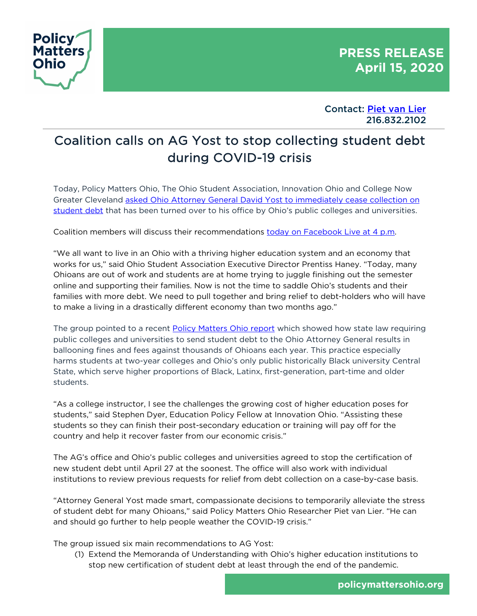

Contact: Piet van Lier 216.832.2102

## Coalition calls on AG Yost to stop collecting student debt during COVID-19 crisis

Today, Policy Matters Ohio, The Ohio Student Association, Innovation Ohio and College Now Greater Cleveland asked Ohio Attorney General David Yost to immediately cease collection on student debt that has been turned over to his office by Ohio's public colleges and universities.

Coalition members will discuss their recommendations today on Facebook Live at 4 p.m.

"We all want to live in an Ohio with a thriving higher education system and an economy that works for us," said Ohio Student Association Executive Director Prentiss Haney. "Today, many Ohioans are out of work and students are at home trying to juggle finishing out the semester online and supporting their families. Now is not the time to saddle Ohio's students and their families with more debt. We need to pull together and bring relief to debt-holders who will have to make a living in a drastically different economy than two months ago."

The group pointed to a recent Policy Matters Ohio report which showed how state law requiring public colleges and universities to send student debt to the Ohio Attorney General results in ballooning fines and fees against thousands of Ohioans each year. This practice especially harms students at two-year colleges and Ohio's only public historically Black university Central State, which serve higher proportions of Black, Latinx, first-generation, part-time and older students.

"As a college instructor, I see the challenges the growing cost of higher education poses for students," said Stephen Dyer, Education Policy Fellow at Innovation Ohio. "Assisting these students so they can finish their post-secondary education or training will pay off for the country and help it recover faster from our economic crisis."

The AG's office and Ohio's public colleges and universities agreed to stop the certification of new student debt until April 27 at the soonest. The office will also work with individual institutions to review previous requests for relief from debt collection on a case-by-case basis.

"Attorney General Yost made smart, compassionate decisions to temporarily alleviate the stress of student debt for many Ohioans," said Policy Matters Ohio Researcher Piet van Lier. "He can and should go further to help people weather the COVID-19 crisis."

The group issued six main recommendations to AG Yost:

(1) Extend the Memoranda of Understanding with Ohio's higher education institutions to stop new certification of student debt at least through the end of the pandemic.